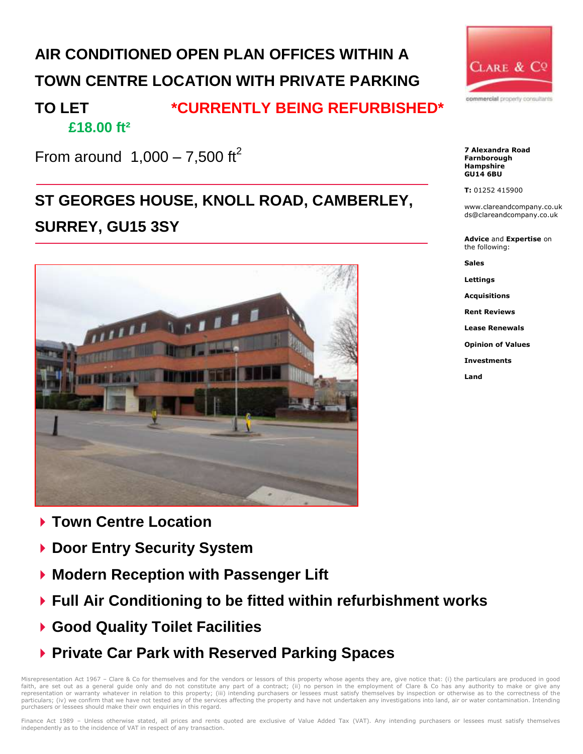# **AIR CONDITIONED OPEN PLAN OFFICES WITHIN A TOWN CENTRE LOCATION WITH PRIVATE PARKING**

### **TO LET \*CURRENTLY BEING REFURBISHED\* £18.00 ft²**

From around  $1,000 - 7,500$  ft<sup>2</sup>

# **ST GEORGES HOUSE, KNOLL ROAD, CAMBERLEY, SURREY, GU15 3SY**



- **Town Centre Location**
- **▶ Door Entry Security System**
- **Modern Reception with Passenger Lift**
- **Full Air Conditioning to be fitted within refurbishment works**
- **Good Quality Toilet Facilities**
- **Private Car Park with Reserved Parking Spaces**

Misrepresentation Act 1967 - Clare & Co for themselves and for the vendors or lessors of this property whose agents they are, give notice that: (i) the particulars are produced in good faith, are set out as a general guide only and do not constitute any part of a contract; (ii) no person in the employment of Clare & Co has any authority to make or give any representation or warranty whatever in relation to this property; (iii) intending purchasers or lessees must satisfy themselves by inspection or otherwise as to the correctness of the<br>particulars; (iv) we confirm that we h purchasers or lessees should make their own enquiries in this regard.



**7 Alexandra Road Farnborough Hampshire GU14 6BU**

#### **T:** 01252 415900

www.clareandcompany.co.uk ds@clareandcompany.co.uk

**Advice** and **Expertise** on the following:

**Sales**

**Lettings**

**Acquisitions**

**Rent Reviews**

**Lease Renewals**

**Opinion of Values**

**Investments**

**Land**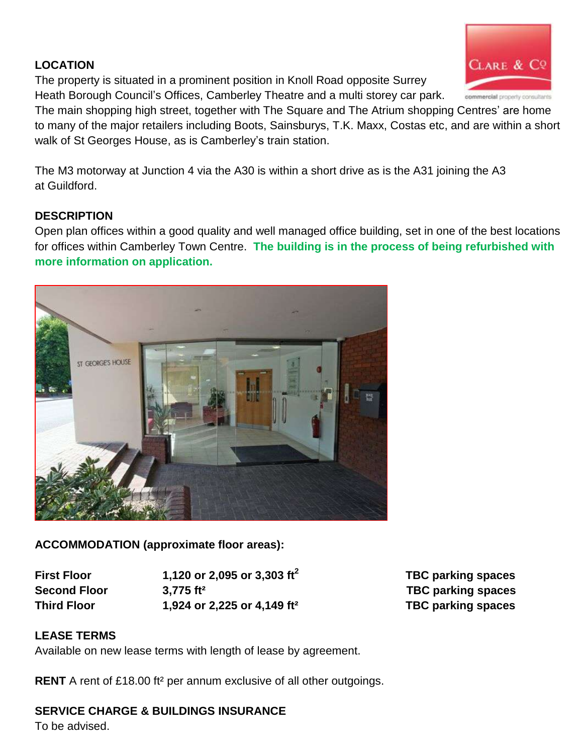#### **LOCATION**

The property is situated in a prominent position in Knoll Road opposite Surrey Heath Borough Council's Offices, Camberley Theatre and a multi storey car park.

The main shopping high street, together with The Square and The Atrium shopping Centres' are home to many of the major retailers including Boots, Sainsburys, T.K. Maxx, Costas etc, and are within a short walk of St Georges House, as is Camberley's train station.

The M3 motorway at Junction 4 via the A30 is within a short drive as is the A31 joining the A3 at Guildford.

#### **DESCRIPTION**

Open plan offices within a good quality and well managed office building, set in one of the best locations for offices within Camberley Town Centre. **The building is in the process of being refurbished with more information on application.** 



**First Floor 1,120 or 2,095 or 3,303 ft<sup>2</sup> Second Floor 3,775 ft² TBC parking spaces Third Floor 1,924 or 2,225 or 4,149 ft² TBC parking spaces**

 **TBC parking spaces**

#### **LEASE TERMS**

Available on new lease terms with length of lease by agreement.

**RENT** A rent of £18.00 ft<sup>2</sup> per annum exclusive of all other outgoings.

#### **SERVICE CHARGE & BUILDINGS INSURANCE**

To be advised.



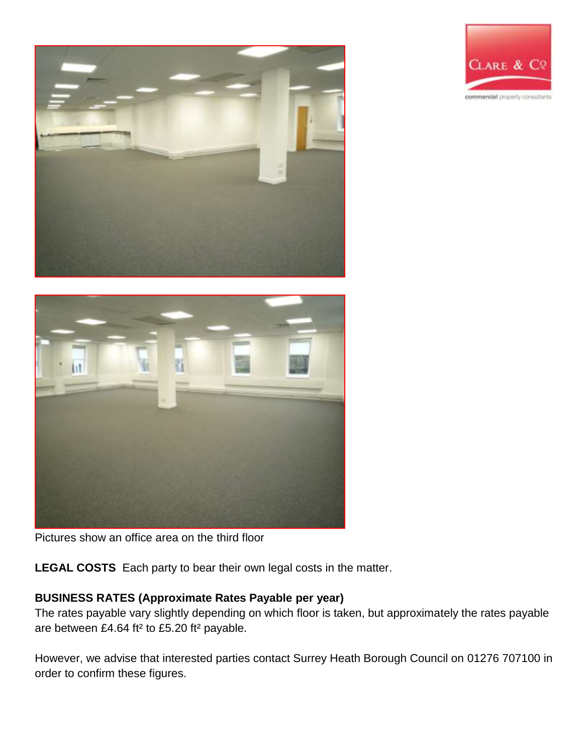





**LEGAL COSTS** Each party to bear their own legal costs in the matter.

### **BUSINESS RATES (Approximate Rates Payable per year)**

The rates payable vary slightly depending on which floor is taken, but approximately the rates payable are between £4.64 ft² to £5.20 ft² payable.

However, we advise that interested parties contact Surrey Heath Borough Council on 01276 707100 in order to confirm these figures.